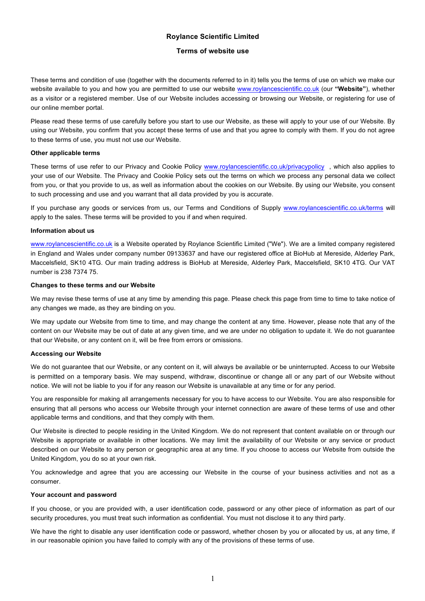# **Roylance Scientific Limited**

# **Terms of website use**

These terms and condition of use (together with the documents referred to in it) tells you the terms of use on which we make our website available to you and how you are permitted to use our website www.roylancescientific.co.uk (our **"Website"**), whether as a visitor or a registered member. Use of our Website includes accessing or browsing our Website, or registering for use of our online member portal.

Please read these terms of use carefully before you start to use our Website, as these will apply to your use of our Website. By using our Website, you confirm that you accept these terms of use and that you agree to comply with them. If you do not agree to these terms of use, you must not use our Website.

## **Other applicable terms**

These terms of use refer to our Privacy and Cookie Policy www.roylancescientific.co.uk/privacypolicy, which also applies to your use of our Website. The Privacy and Cookie Policy sets out the terms on which we process any personal data we collect from you, or that you provide to us, as well as information about the cookies on our Website. By using our Website, you consent to such processing and use and you warrant that all data provided by you is accurate.

If you purchase any goods or services from us, our Terms and Conditions of Supply www.roylancescientific.co.uk/terms will apply to the sales. These terms will be provided to you if and when required.

## **Information about us**

www.roylancescientific.co.uk is a Website operated by Roylance Scientific Limited ("We"). We are a limited company registered in England and Wales under company number 09133637 and have our registered office at BioHub at Mereside, Alderley Park, Maccelsfield, SK10 4TG. Our main trading address is BioHub at Mereside, Alderley Park, Maccelsfield, SK10 4TG. Our VAT number is 238 7374 75.

## **Changes to these terms and our Website**

We may revise these terms of use at any time by amending this page. Please check this page from time to time to take notice of any changes we made, as they are binding on you.

We may update our Website from time to time, and may change the content at any time. However, please note that any of the content on our Website may be out of date at any given time, and we are under no obligation to update it. We do not guarantee that our Website, or any content on it, will be free from errors or omissions.

# **Accessing our Website**

We do not guarantee that our Website, or any content on it, will always be available or be uninterrupted. Access to our Website is permitted on a temporary basis. We may suspend, withdraw, discontinue or change all or any part of our Website without notice. We will not be liable to you if for any reason our Website is unavailable at any time or for any period.

You are responsible for making all arrangements necessary for you to have access to our Website. You are also responsible for ensuring that all persons who access our Website through your internet connection are aware of these terms of use and other applicable terms and conditions, and that they comply with them.

Our Website is directed to people residing in the United Kingdom. We do not represent that content available on or through our Website is appropriate or available in other locations. We may limit the availability of our Website or any service or product described on our Website to any person or geographic area at any time. If you choose to access our Website from outside the United Kingdom, you do so at your own risk.

You acknowledge and agree that you are accessing our Website in the course of your business activities and not as a consumer.

#### **Your account and password**

If you choose, or you are provided with, a user identification code, password or any other piece of information as part of our security procedures, you must treat such information as confidential. You must not disclose it to any third party.

We have the right to disable any user identification code or password, whether chosen by you or allocated by us, at any time, if in our reasonable opinion you have failed to comply with any of the provisions of these terms of use.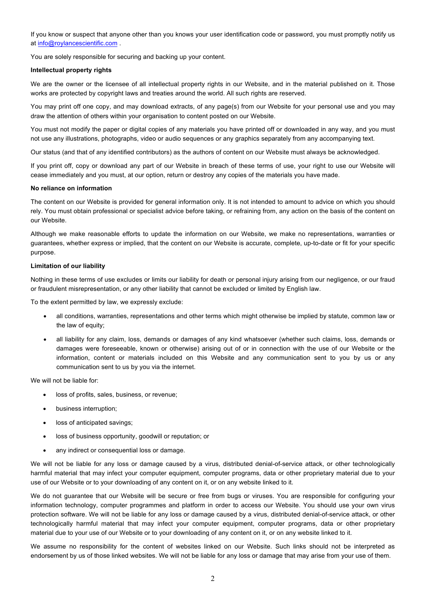If you know or suspect that anyone other than you knows your user identification code or password, you must promptly notify us at info@roylancescientific.com .

You are solely responsible for securing and backing up your content.

### **Intellectual property rights**

We are the owner or the licensee of all intellectual property rights in our Website, and in the material published on it. Those works are protected by copyright laws and treaties around the world. All such rights are reserved.

You may print off one copy, and may download extracts, of any page(s) from our Website for your personal use and you may draw the attention of others within your organisation to content posted on our Website.

You must not modify the paper or digital copies of any materials you have printed off or downloaded in any way, and you must not use any illustrations, photographs, video or audio sequences or any graphics separately from any accompanying text.

Our status (and that of any identified contributors) as the authors of content on our Website must always be acknowledged.

If you print off, copy or download any part of our Website in breach of these terms of use, your right to use our Website will cease immediately and you must, at our option, return or destroy any copies of the materials you have made.

## **No reliance on information**

The content on our Website is provided for general information only. It is not intended to amount to advice on which you should rely. You must obtain professional or specialist advice before taking, or refraining from, any action on the basis of the content on our Website.

Although we make reasonable efforts to update the information on our Website, we make no representations, warranties or guarantees, whether express or implied, that the content on our Website is accurate, complete, up-to-date or fit for your specific purpose.

#### **Limitation of our liability**

Nothing in these terms of use excludes or limits our liability for death or personal injury arising from our negligence, or our fraud or fraudulent misrepresentation, or any other liability that cannot be excluded or limited by English law.

To the extent permitted by law, we expressly exclude:

- all conditions, warranties, representations and other terms which might otherwise be implied by statute, common law or the law of equity;
- all liability for any claim, loss, demands or damages of any kind whatsoever (whether such claims, loss, demands or damages were foreseeable, known or otherwise) arising out of or in connection with the use of our Website or the information, content or materials included on this Website and any communication sent to you by us or any communication sent to us by you via the internet.

We will not be liable for:

- loss of profits, sales, business, or revenue;
- business interruption;
- loss of anticipated savings;
- loss of business opportunity, goodwill or reputation; or
- any indirect or consequential loss or damage.

We will not be liable for any loss or damage caused by a virus, distributed denial-of-service attack, or other technologically harmful material that may infect your computer equipment, computer programs, data or other proprietary material due to your use of our Website or to your downloading of any content on it, or on any website linked to it.

We do not guarantee that our Website will be secure or free from bugs or viruses. You are responsible for configuring your information technology, computer programmes and platform in order to access our Website. You should use your own virus protection software. We will not be liable for any loss or damage caused by a virus, distributed denial-of-service attack, or other technologically harmful material that may infect your computer equipment, computer programs, data or other proprietary material due to your use of our Website or to your downloading of any content on it, or on any website linked to it.

We assume no responsibility for the content of websites linked on our Website. Such links should not be interpreted as endorsement by us of those linked websites. We will not be liable for any loss or damage that may arise from your use of them.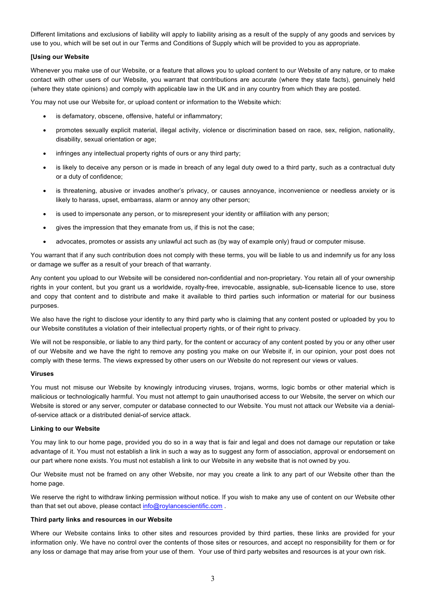Different limitations and exclusions of liability will apply to liability arising as a result of the supply of any goods and services by use to you, which will be set out in our Terms and Conditions of Supply which will be provided to you as appropriate.

## **[Using our Website**

Whenever you make use of our Website, or a feature that allows you to upload content to our Website of any nature, or to make contact with other users of our Website, you warrant that contributions are accurate (where they state facts), genuinely held (where they state opinions) and comply with applicable law in the UK and in any country from which they are posted.

You may not use our Website for, or upload content or information to the Website which:

- is defamatory, obscene, offensive, hateful or inflammatory;
- promotes sexually explicit material, illegal activity, violence or discrimination based on race, sex, religion, nationality, disability, sexual orientation or age;
- infringes any intellectual property rights of ours or any third party;
- is likely to deceive any person or is made in breach of any legal duty owed to a third party, such as a contractual duty or a duty of confidence;
- is threatening, abusive or invades another's privacy, or causes annoyance, inconvenience or needless anxiety or is likely to harass, upset, embarrass, alarm or annoy any other person;
- is used to impersonate any person, or to misrepresent your identity or affiliation with any person;
- gives the impression that they emanate from us, if this is not the case;
- advocates, promotes or assists any unlawful act such as (by way of example only) fraud or computer misuse.

You warrant that if any such contribution does not comply with these terms, you will be liable to us and indemnify us for any loss or damage we suffer as a result of your breach of that warranty.

Any content you upload to our Website will be considered non-confidential and non-proprietary. You retain all of your ownership rights in your content, but you grant us a worldwide, royalty-free, irrevocable, assignable, sub-licensable licence to use, store and copy that content and to distribute and make it available to third parties such information or material for our business purposes.

We also have the right to disclose your identity to any third party who is claiming that any content posted or uploaded by you to our Website constitutes a violation of their intellectual property rights, or of their right to privacy.

We will not be responsible, or liable to any third party, for the content or accuracy of any content posted by you or any other user of our Website and we have the right to remove any posting you make on our Website if, in our opinion, your post does not comply with these terms. The views expressed by other users on our Website do not represent our views or values.

#### **Viruses**

You must not misuse our Website by knowingly introducing viruses, trojans, worms, logic bombs or other material which is malicious or technologically harmful. You must not attempt to gain unauthorised access to our Website, the server on which our Website is stored or any server, computer or database connected to our Website. You must not attack our Website via a denialof-service attack or a distributed denial-of service attack.

#### **Linking to our Website**

You may link to our home page, provided you do so in a way that is fair and legal and does not damage our reputation or take advantage of it. You must not establish a link in such a way as to suggest any form of association, approval or endorsement on our part where none exists. You must not establish a link to our Website in any website that is not owned by you.

Our Website must not be framed on any other Website, nor may you create a link to any part of our Website other than the home page.

We reserve the right to withdraw linking permission without notice. If you wish to make any use of content on our Website other than that set out above, please contact info@roylancescientific.com.

#### **Third party links and resources in our Website**

Where our Website contains links to other sites and resources provided by third parties, these links are provided for your information only. We have no control over the contents of those sites or resources, and accept no responsibility for them or for any loss or damage that may arise from your use of them. Your use of third party websites and resources is at your own risk.